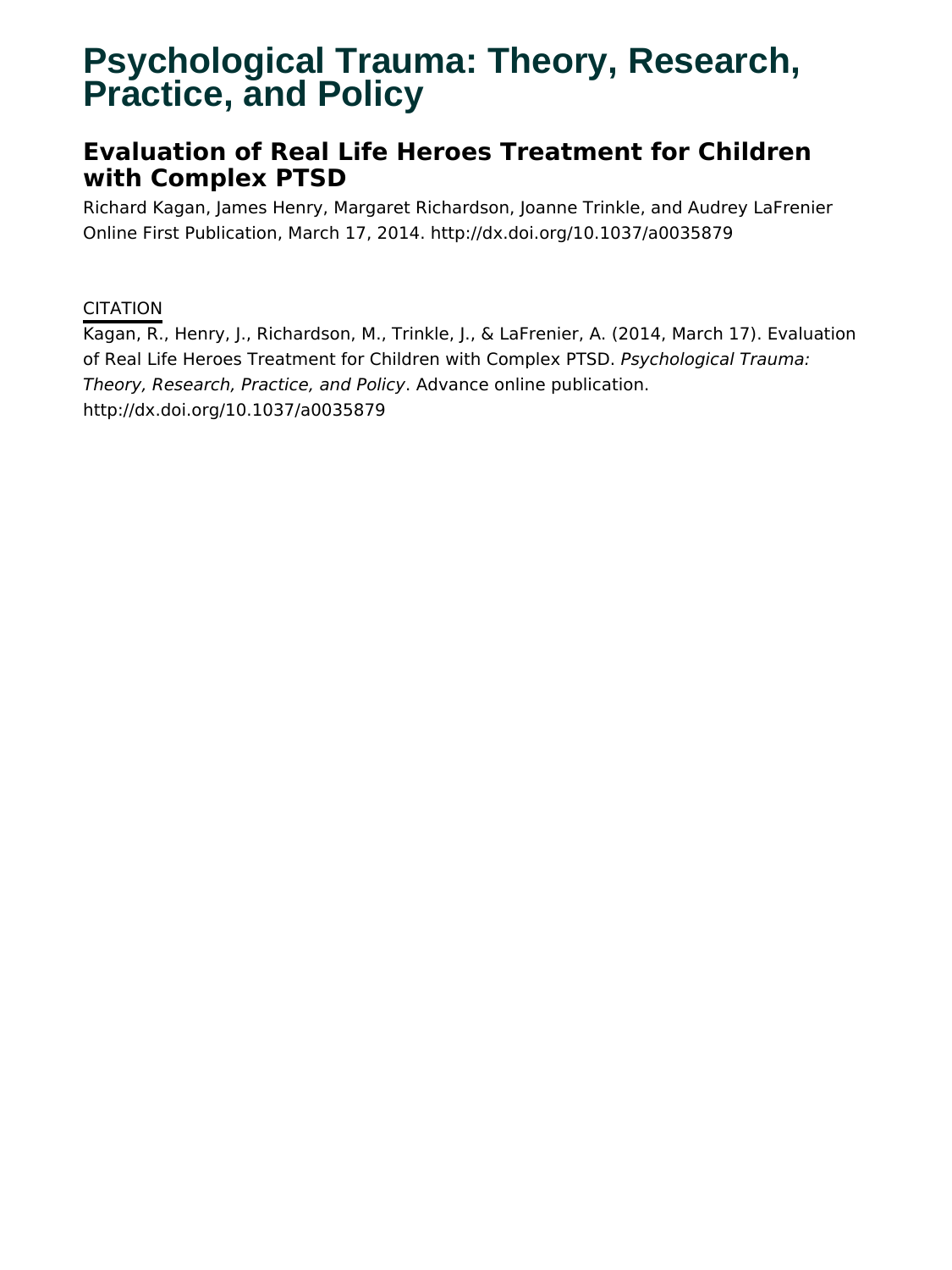# **Psychological Trauma: Theory, Research, Practice, and Policy**

# **Evaluation of Real Life Heroes Treatment for Children with Complex PTSD**

Richard Kagan, James Henry, Margaret Richardson, Joanne Trinkle, and Audrey LaFrenier Online First Publication, March 17, 2014. http://dx.doi.org/10.1037/a0035879

CITATION

Kagan, R., Henry, J., Richardson, M., Trinkle, J., & LaFrenier, A. (2014, March 17). Evaluation of Real Life Heroes Treatment for Children with Complex PTSD. Psychological Trauma: Theory, Research, Practice, and Policy. Advance online publication. http://dx.doi.org/10.1037/a0035879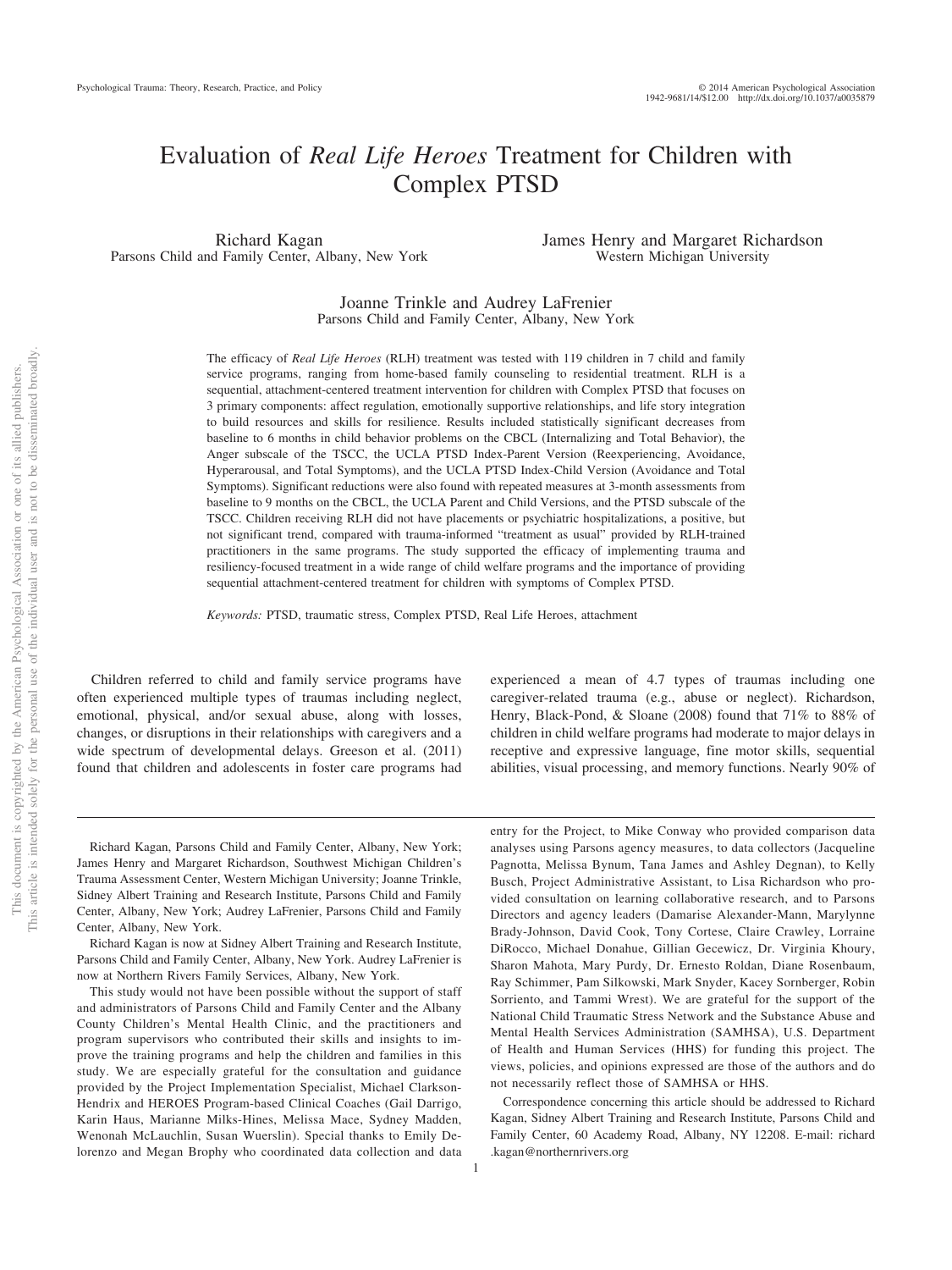# Evaluation of *Real Life Heroes* Treatment for Children with Complex PTSD

Richard Kagan Parsons Child and Family Center, Albany, New York James Henry and Margaret Richardson Western Michigan University

#### Joanne Trinkle and Audrey LaFrenier Parsons Child and Family Center, Albany, New York

The efficacy of *Real Life Heroes* (RLH) treatment was tested with 119 children in 7 child and family service programs, ranging from home-based family counseling to residential treatment. RLH is a sequential, attachment-centered treatment intervention for children with Complex PTSD that focuses on 3 primary components: affect regulation, emotionally supportive relationships, and life story integration to build resources and skills for resilience. Results included statistically significant decreases from baseline to 6 months in child behavior problems on the CBCL (Internalizing and Total Behavior), the Anger subscale of the TSCC, the UCLA PTSD Index-Parent Version (Reexperiencing, Avoidance, Hyperarousal, and Total Symptoms), and the UCLA PTSD Index-Child Version (Avoidance and Total Symptoms). Significant reductions were also found with repeated measures at 3-month assessments from baseline to 9 months on the CBCL, the UCLA Parent and Child Versions, and the PTSD subscale of the TSCC. Children receiving RLH did not have placements or psychiatric hospitalizations, a positive, but not significant trend, compared with trauma-informed "treatment as usual" provided by RLH-trained practitioners in the same programs. The study supported the efficacy of implementing trauma and resiliency-focused treatment in a wide range of child welfare programs and the importance of providing sequential attachment-centered treatment for children with symptoms of Complex PTSD.

*Keywords:* PTSD, traumatic stress, Complex PTSD, Real Life Heroes, attachment

Children referred to child and family service programs have often experienced multiple types of traumas including neglect, emotional, physical, and/or sexual abuse, along with losses, changes, or disruptions in their relationships with caregivers and a wide spectrum of developmental delays. Greeson et al. (2011) found that children and adolescents in foster care programs had

Richard Kagan, Parsons Child and Family Center, Albany, New York; James Henry and Margaret Richardson, Southwest Michigan Children's Trauma Assessment Center, Western Michigan University; Joanne Trinkle, Sidney Albert Training and Research Institute, Parsons Child and Family Center, Albany, New York; Audrey LaFrenier, Parsons Child and Family Center, Albany, New York.

Richard Kagan is now at Sidney Albert Training and Research Institute, Parsons Child and Family Center, Albany, New York. Audrey LaFrenier is now at Northern Rivers Family Services, Albany, New York.

This study would not have been possible without the support of staff and administrators of Parsons Child and Family Center and the Albany County Children's Mental Health Clinic, and the practitioners and program supervisors who contributed their skills and insights to improve the training programs and help the children and families in this study. We are especially grateful for the consultation and guidance provided by the Project Implementation Specialist, Michael Clarkson-Hendrix and HEROES Program-based Clinical Coaches (Gail Darrigo, Karin Haus, Marianne Milks-Hines, Melissa Mace, Sydney Madden, Wenonah McLauchlin, Susan Wuerslin). Special thanks to Emily Delorenzo and Megan Brophy who coordinated data collection and data

experienced a mean of 4.7 types of traumas including one caregiver-related trauma (e.g., abuse or neglect). Richardson, Henry, Black-Pond, & Sloane (2008) found that 71% to 88% of children in child welfare programs had moderate to major delays in receptive and expressive language, fine motor skills, sequential abilities, visual processing, and memory functions. Nearly 90% of

entry for the Project, to Mike Conway who provided comparison data analyses using Parsons agency measures, to data collectors (Jacqueline Pagnotta, Melissa Bynum, Tana James and Ashley Degnan), to Kelly Busch, Project Administrative Assistant, to Lisa Richardson who provided consultation on learning collaborative research, and to Parsons Directors and agency leaders (Damarise Alexander-Mann, Marylynne Brady-Johnson, David Cook, Tony Cortese, Claire Crawley, Lorraine DiRocco, Michael Donahue, Gillian Gecewicz, Dr. Virginia Khoury, Sharon Mahota, Mary Purdy, Dr. Ernesto Roldan, Diane Rosenbaum, Ray Schimmer, Pam Silkowski, Mark Snyder, Kacey Sornberger, Robin Sorriento, and Tammi Wrest). We are grateful for the support of the National Child Traumatic Stress Network and the Substance Abuse and Mental Health Services Administration (SAMHSA), U.S. Department of Health and Human Services (HHS) for funding this project. The views, policies, and opinions expressed are those of the authors and do not necessarily reflect those of SAMHSA or HHS.

Correspondence concerning this article should be addressed to Richard Kagan, Sidney Albert Training and Research Institute, Parsons Child and Family Center, 60 Academy Road, Albany, NY 12208. E-mail: richard .kagan@northernrivers.org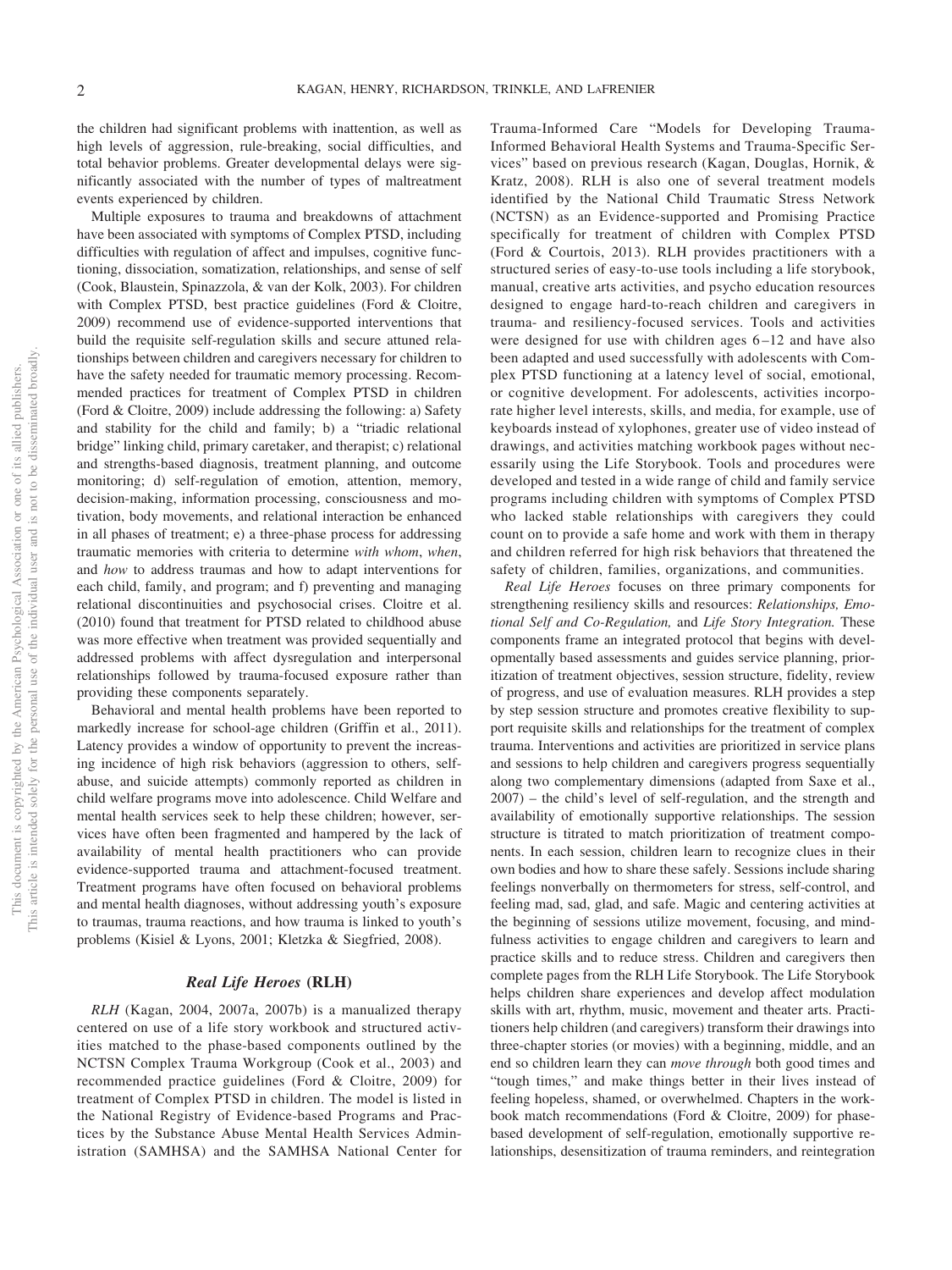the children had significant problems with inattention, as well as high levels of aggression, rule-breaking, social difficulties, and total behavior problems. Greater developmental delays were significantly associated with the number of types of maltreatment events experienced by children.

Multiple exposures to trauma and breakdowns of attachment have been associated with symptoms of Complex PTSD, including difficulties with regulation of affect and impulses, cognitive functioning, dissociation, somatization, relationships, and sense of self (Cook, Blaustein, Spinazzola, & van der Kolk, 2003). For children with Complex PTSD, best practice guidelines (Ford & Cloitre, 2009) recommend use of evidence-supported interventions that build the requisite self-regulation skills and secure attuned relationships between children and caregivers necessary for children to have the safety needed for traumatic memory processing. Recommended practices for treatment of Complex PTSD in children (Ford & Cloitre, 2009) include addressing the following: a) Safety and stability for the child and family; b) a "triadic relational bridge" linking child, primary caretaker, and therapist; c) relational and strengths-based diagnosis, treatment planning, and outcome monitoring; d) self-regulation of emotion, attention, memory, decision-making, information processing, consciousness and motivation, body movements, and relational interaction be enhanced in all phases of treatment; e) a three-phase process for addressing traumatic memories with criteria to determine *with whom*, *when*, and *how* to address traumas and how to adapt interventions for each child, family, and program; and f) preventing and managing relational discontinuities and psychosocial crises. Cloitre et al. (2010) found that treatment for PTSD related to childhood abuse was more effective when treatment was provided sequentially and addressed problems with affect dysregulation and interpersonal relationships followed by trauma-focused exposure rather than providing these components separately.

Behavioral and mental health problems have been reported to markedly increase for school-age children (Griffin et al., 2011). Latency provides a window of opportunity to prevent the increasing incidence of high risk behaviors (aggression to others, selfabuse, and suicide attempts) commonly reported as children in child welfare programs move into adolescence. Child Welfare and mental health services seek to help these children; however, services have often been fragmented and hampered by the lack of availability of mental health practitioners who can provide evidence-supported trauma and attachment-focused treatment. Treatment programs have often focused on behavioral problems and mental health diagnoses, without addressing youth's exposure to traumas, trauma reactions, and how trauma is linked to youth's problems (Kisiel & Lyons, 2001; Kletzka & Siegfried, 2008).

#### *Real Life Heroes* **(RLH)**

*RLH* (Kagan, 2004, 2007a, 2007b) is a manualized therapy centered on use of a life story workbook and structured activities matched to the phase-based components outlined by the NCTSN Complex Trauma Workgroup (Cook et al., 2003) and recommended practice guidelines (Ford & Cloitre, 2009) for treatment of Complex PTSD in children. The model is listed in the National Registry of Evidence-based Programs and Practices by the Substance Abuse Mental Health Services Administration (SAMHSA) and the SAMHSA National Center for

Trauma-Informed Care "Models for Developing Trauma-Informed Behavioral Health Systems and Trauma-Specific Services" based on previous research (Kagan, Douglas, Hornik, & Kratz, 2008). RLH is also one of several treatment models identified by the National Child Traumatic Stress Network (NCTSN) as an Evidence-supported and Promising Practice specifically for treatment of children with Complex PTSD (Ford & Courtois, 2013). RLH provides practitioners with a structured series of easy-to-use tools including a life storybook, manual, creative arts activities, and psycho education resources designed to engage hard-to-reach children and caregivers in trauma- and resiliency-focused services. Tools and activities were designed for use with children ages  $6-12$  and have also been adapted and used successfully with adolescents with Complex PTSD functioning at a latency level of social, emotional, or cognitive development. For adolescents, activities incorporate higher level interests, skills, and media, for example, use of keyboards instead of xylophones, greater use of video instead of drawings, and activities matching workbook pages without necessarily using the Life Storybook. Tools and procedures were developed and tested in a wide range of child and family service programs including children with symptoms of Complex PTSD who lacked stable relationships with caregivers they could count on to provide a safe home and work with them in therapy and children referred for high risk behaviors that threatened the safety of children, families, organizations, and communities.

*Real Life Heroes* focuses on three primary components for strengthening resiliency skills and resources: *Relationships, Emotional Self and Co-Regulation,* and *Life Story Integration.* These components frame an integrated protocol that begins with developmentally based assessments and guides service planning, prioritization of treatment objectives, session structure, fidelity, review of progress, and use of evaluation measures. RLH provides a step by step session structure and promotes creative flexibility to support requisite skills and relationships for the treatment of complex trauma. Interventions and activities are prioritized in service plans and sessions to help children and caregivers progress sequentially along two complementary dimensions (adapted from Saxe et al., 2007) – the child's level of self-regulation, and the strength and availability of emotionally supportive relationships. The session structure is titrated to match prioritization of treatment components. In each session, children learn to recognize clues in their own bodies and how to share these safely. Sessions include sharing feelings nonverbally on thermometers for stress, self-control, and feeling mad, sad, glad, and safe. Magic and centering activities at the beginning of sessions utilize movement, focusing, and mindfulness activities to engage children and caregivers to learn and practice skills and to reduce stress. Children and caregivers then complete pages from the RLH Life Storybook. The Life Storybook helps children share experiences and develop affect modulation skills with art, rhythm, music, movement and theater arts. Practitioners help children (and caregivers) transform their drawings into three-chapter stories (or movies) with a beginning, middle, and an end so children learn they can *move through* both good times and "tough times," and make things better in their lives instead of feeling hopeless, shamed, or overwhelmed. Chapters in the workbook match recommendations (Ford & Cloitre, 2009) for phasebased development of self-regulation, emotionally supportive relationships, desensitization of trauma reminders, and reintegration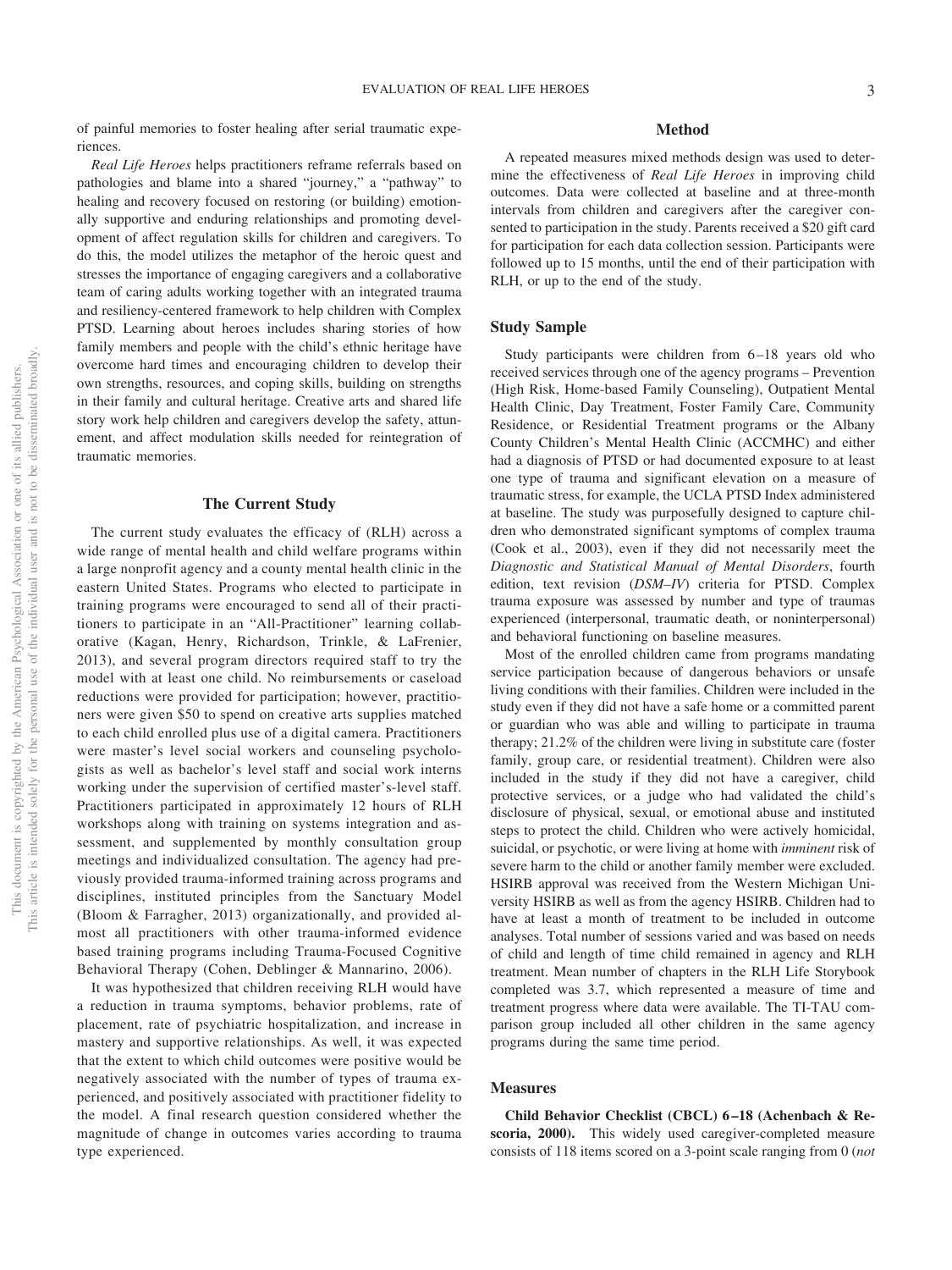of painful memories to foster healing after serial traumatic experiences.

*Real Life Heroes* helps practitioners reframe referrals based on pathologies and blame into a shared "journey," a "pathway" to healing and recovery focused on restoring (or building) emotionally supportive and enduring relationships and promoting development of affect regulation skills for children and caregivers. To do this, the model utilizes the metaphor of the heroic quest and stresses the importance of engaging caregivers and a collaborative team of caring adults working together with an integrated trauma and resiliency-centered framework to help children with Complex PTSD. Learning about heroes includes sharing stories of how family members and people with the child's ethnic heritage have overcome hard times and encouraging children to develop their own strengths, resources, and coping skills, building on strengths in their family and cultural heritage. Creative arts and shared life story work help children and caregivers develop the safety, attunement, and affect modulation skills needed for reintegration of traumatic memories.

#### **The Current Study**

The current study evaluates the efficacy of (RLH) across a wide range of mental health and child welfare programs within a large nonprofit agency and a county mental health clinic in the eastern United States. Programs who elected to participate in training programs were encouraged to send all of their practitioners to participate in an "All-Practitioner" learning collaborative (Kagan, Henry, Richardson, Trinkle, & LaFrenier, 2013), and several program directors required staff to try the model with at least one child. No reimbursements or caseload reductions were provided for participation; however, practitioners were given \$50 to spend on creative arts supplies matched to each child enrolled plus use of a digital camera. Practitioners were master's level social workers and counseling psychologists as well as bachelor's level staff and social work interns working under the supervision of certified master's-level staff. Practitioners participated in approximately 12 hours of RLH workshops along with training on systems integration and assessment, and supplemented by monthly consultation group meetings and individualized consultation. The agency had previously provided trauma-informed training across programs and disciplines, instituted principles from the Sanctuary Model (Bloom & Farragher, 2013) organizationally, and provided almost all practitioners with other trauma-informed evidence based training programs including Trauma-Focused Cognitive Behavioral Therapy (Cohen, Deblinger & Mannarino, 2006).

It was hypothesized that children receiving RLH would have a reduction in trauma symptoms, behavior problems, rate of placement, rate of psychiatric hospitalization, and increase in mastery and supportive relationships. As well, it was expected that the extent to which child outcomes were positive would be negatively associated with the number of types of trauma experienced, and positively associated with practitioner fidelity to the model. A final research question considered whether the magnitude of change in outcomes varies according to trauma type experienced.

### **Method**

A repeated measures mixed methods design was used to determine the effectiveness of *Real Life Heroes* in improving child outcomes. Data were collected at baseline and at three-month intervals from children and caregivers after the caregiver consented to participation in the study. Parents received a \$20 gift card for participation for each data collection session. Participants were followed up to 15 months, until the end of their participation with RLH, or up to the end of the study.

#### **Study Sample**

Study participants were children from 6–18 years old who received services through one of the agency programs – Prevention (High Risk, Home-based Family Counseling), Outpatient Mental Health Clinic, Day Treatment, Foster Family Care, Community Residence, or Residential Treatment programs or the Albany County Children's Mental Health Clinic (ACCMHC) and either had a diagnosis of PTSD or had documented exposure to at least one type of trauma and significant elevation on a measure of traumatic stress, for example, the UCLA PTSD Index administered at baseline. The study was purposefully designed to capture children who demonstrated significant symptoms of complex trauma (Cook et al., 2003), even if they did not necessarily meet the *Diagnostic and Statistical Manual of Mental Disorders*, fourth edition, text revision (*DSM–IV*) criteria for PTSD. Complex trauma exposure was assessed by number and type of traumas experienced (interpersonal, traumatic death, or noninterpersonal) and behavioral functioning on baseline measures.

Most of the enrolled children came from programs mandating service participation because of dangerous behaviors or unsafe living conditions with their families. Children were included in the study even if they did not have a safe home or a committed parent or guardian who was able and willing to participate in trauma therapy; 21.2% of the children were living in substitute care (foster family, group care, or residential treatment). Children were also included in the study if they did not have a caregiver, child protective services, or a judge who had validated the child's disclosure of physical, sexual, or emotional abuse and instituted steps to protect the child. Children who were actively homicidal, suicidal, or psychotic, or were living at home with *imminent* risk of severe harm to the child or another family member were excluded. HSIRB approval was received from the Western Michigan University HSIRB as well as from the agency HSIRB. Children had to have at least a month of treatment to be included in outcome analyses. Total number of sessions varied and was based on needs of child and length of time child remained in agency and RLH treatment. Mean number of chapters in the RLH Life Storybook completed was 3.7, which represented a measure of time and treatment progress where data were available. The TI-TAU comparison group included all other children in the same agency programs during the same time period.

### **Measures**

**Child Behavior Checklist (CBCL) 6 –18 (Achenbach & Rescoria, 2000).** This widely used caregiver-completed measure consists of 118 items scored on a 3-point scale ranging from 0 (*not*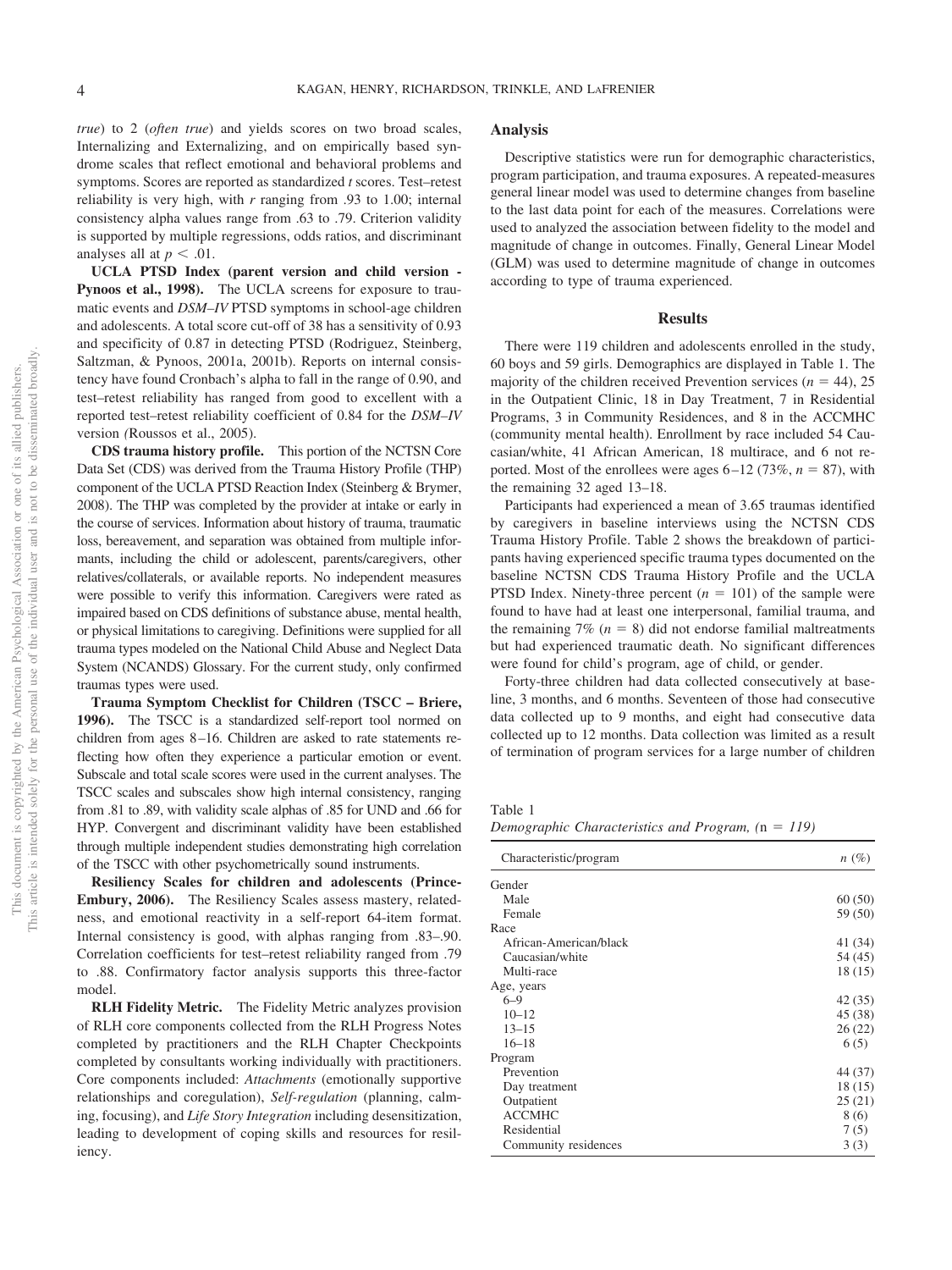*true*) to 2 (*often true*) and yields scores on two broad scales, Internalizing and Externalizing, and on empirically based syndrome scales that reflect emotional and behavioral problems and symptoms. Scores are reported as standardized *t* scores. Test–retest reliability is very high, with *r* ranging from .93 to 1.00; internal consistency alpha values range from .63 to .79. Criterion validity is supported by multiple regressions, odds ratios, and discriminant analyses all at  $p < .01$ .

**UCLA PTSD Index (parent version and child version - Pynoos et al., 1998).** The UCLA screens for exposure to traumatic events and *DSM–IV* PTSD symptoms in school-age children and adolescents. A total score cut-off of 38 has a sensitivity of 0.93 and specificity of 0.87 in detecting PTSD (Rodriguez, Steinberg, Saltzman, & Pynoos, 2001a, 2001b). Reports on internal consistency have found Cronbach's alpha to fall in the range of 0.90, and test–retest reliability has ranged from good to excellent with a reported test–retest reliability coefficient of 0.84 for the *DSM–IV* version *(*Roussos et al., 2005).

**CDS trauma history profile.** This portion of the NCTSN Core Data Set (CDS) was derived from the Trauma History Profile (THP) component of the UCLA PTSD Reaction Index (Steinberg & Brymer, 2008). The THP was completed by the provider at intake or early in the course of services. Information about history of trauma, traumatic loss, bereavement, and separation was obtained from multiple informants, including the child or adolescent, parents/caregivers, other relatives/collaterals, or available reports. No independent measures were possible to verify this information. Caregivers were rated as impaired based on CDS definitions of substance abuse, mental health, or physical limitations to caregiving. Definitions were supplied for all trauma types modeled on the National Child Abuse and Neglect Data System (NCANDS) Glossary. For the current study, only confirmed traumas types were used.

**Trauma Symptom Checklist for Children (TSCC – Briere, 1996).** The TSCC is a standardized self-report tool normed on children from ages 8-16. Children are asked to rate statements reflecting how often they experience a particular emotion or event. Subscale and total scale scores were used in the current analyses. The TSCC scales and subscales show high internal consistency, ranging from .81 to .89, with validity scale alphas of .85 for UND and .66 for HYP. Convergent and discriminant validity have been established through multiple independent studies demonstrating high correlation of the TSCC with other psychometrically sound instruments.

**Resiliency Scales for children and adolescents (Prince-Embury, 2006).** The Resiliency Scales assess mastery, relatedness, and emotional reactivity in a self-report 64-item format. Internal consistency is good, with alphas ranging from .83–.90. Correlation coefficients for test–retest reliability ranged from .79 to .88. Confirmatory factor analysis supports this three-factor model.

**RLH Fidelity Metric.** The Fidelity Metric analyzes provision of RLH core components collected from the RLH Progress Notes completed by practitioners and the RLH Chapter Checkpoints completed by consultants working individually with practitioners. Core components included: *Attachments* (emotionally supportive relationships and coregulation), *Self-regulation* (planning, calming, focusing), and *Life Story Integration* including desensitization, leading to development of coping skills and resources for resiliency.

#### **Analysis**

Descriptive statistics were run for demographic characteristics, program participation, and trauma exposures. A repeated-measures general linear model was used to determine changes from baseline to the last data point for each of the measures. Correlations were used to analyzed the association between fidelity to the model and magnitude of change in outcomes. Finally, General Linear Model (GLM) was used to determine magnitude of change in outcomes according to type of trauma experienced.

# **Results**

There were 119 children and adolescents enrolled in the study, 60 boys and 59 girls. Demographics are displayed in Table 1. The majority of the children received Prevention services  $(n = 44)$ , 25 in the Outpatient Clinic, 18 in Day Treatment, 7 in Residential Programs, 3 in Community Residences, and 8 in the ACCMHC (community mental health). Enrollment by race included 54 Caucasian/white, 41 African American, 18 multirace, and 6 not reported. Most of the enrollees were ages  $6-12$  (73%,  $n = 87$ ), with the remaining 32 aged 13–18.

Participants had experienced a mean of 3.65 traumas identified by caregivers in baseline interviews using the NCTSN CDS Trauma History Profile. Table 2 shows the breakdown of participants having experienced specific trauma types documented on the baseline NCTSN CDS Trauma History Profile and the UCLA PTSD Index. Ninety-three percent  $(n = 101)$  of the sample were found to have had at least one interpersonal, familial trauma, and the remaining  $7\%$  ( $n = 8$ ) did not endorse familial maltreatments but had experienced traumatic death. No significant differences were found for child's program, age of child, or gender.

Forty-three children had data collected consecutively at baseline, 3 months, and 6 months. Seventeen of those had consecutive data collected up to 9 months, and eight had consecutive data collected up to 12 months. Data collection was limited as a result of termination of program services for a large number of children

Table 1

*Demographic Characteristics and Program,* (n = 119)

| Characteristic/program | $n(\%)$ |
|------------------------|---------|
| Gender                 |         |
| Male                   | 60(50)  |
| Female                 | 59 (50) |
| Race                   |         |
| African-American/black | 41 (34) |
| Caucasian/white        | 54 (45) |
| Multi-race             | 18(15)  |
| Age, years             |         |
| $6 - 9$                | 42 (35) |
| $10 - 12$              | 45 (38) |
| $13 - 15$              | 26(22)  |
| $16 - 18$              | 6(5)    |
| Program                |         |
| Prevention             | 44 (37) |
| Day treatment          | 18(15)  |
| Outpatient             | 25(21)  |
| <b>ACCMHC</b>          | 8 (6)   |
| Residential            | 7(5)    |
| Community residences   | 3(3)    |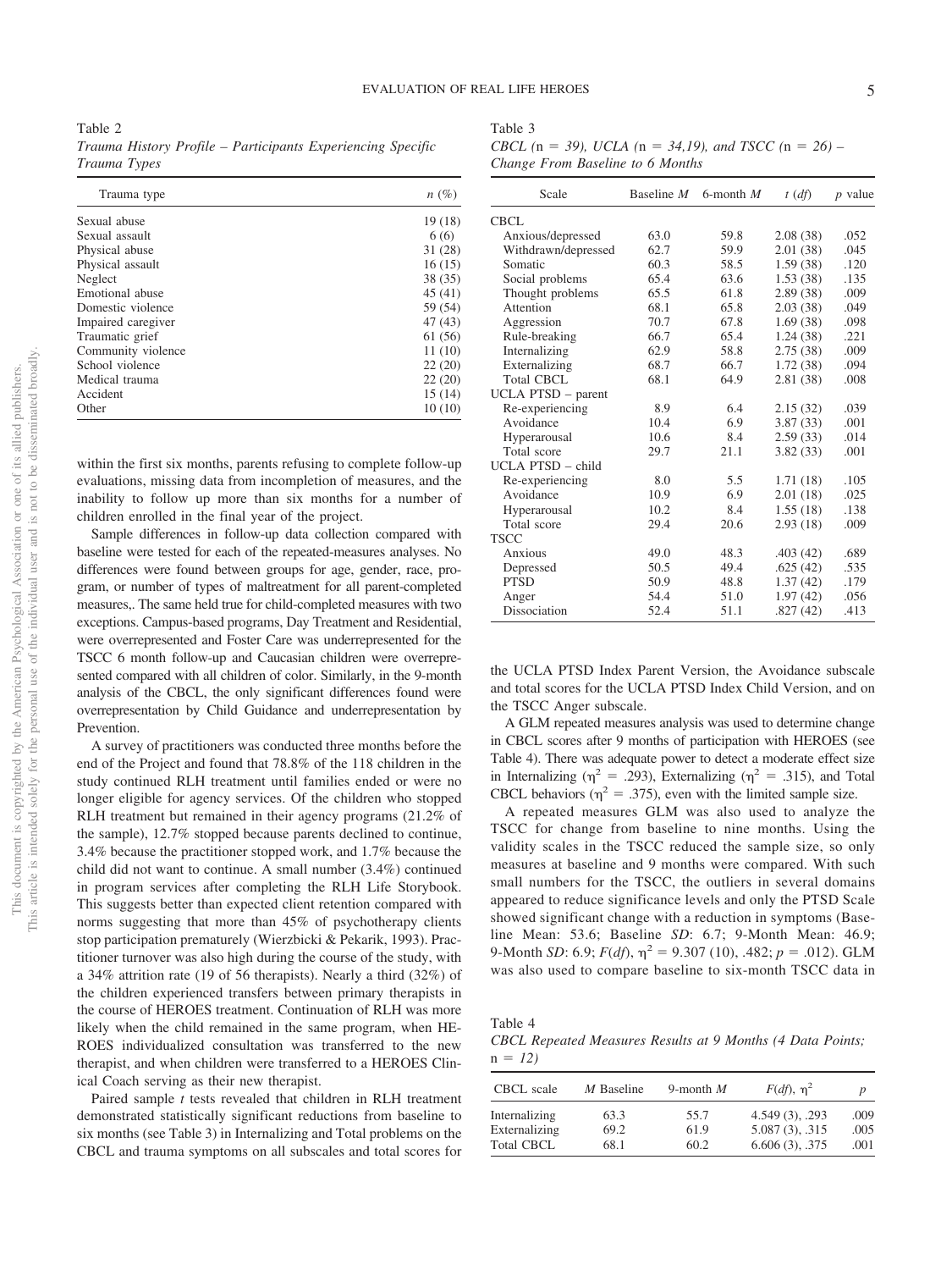Table 2 *Trauma History Profile – Participants Experiencing Specific Trauma Types*

| Trauma type        | $n(\%)$ |
|--------------------|---------|
| Sexual abuse       | 19(18)  |
| Sexual assault     | 6(6)    |
| Physical abuse     | 31(28)  |
| Physical assault   | 16(15)  |
| Neglect            | 38 (35) |
| Emotional abuse    | 45(41)  |
| Domestic violence  | 59 (54) |
| Impaired caregiver | 47(43)  |
| Traumatic grief    | 61 (56) |
| Community violence | 11 (10) |
| School violence    | 22(20)  |
| Medical trauma     | 22(20)  |
| Accident           | 15(14)  |
| Other              | 10(10)  |

within the first six months, parents refusing to complete follow-up evaluations, missing data from incompletion of measures, and the inability to follow up more than six months for a number of children enrolled in the final year of the project.

Sample differences in follow-up data collection compared with baseline were tested for each of the repeated-measures analyses. No differences were found between groups for age, gender, race, program, or number of types of maltreatment for all parent-completed measures,. The same held true for child-completed measures with two exceptions. Campus-based programs, Day Treatment and Residential, were overrepresented and Foster Care was underrepresented for the TSCC 6 month follow-up and Caucasian children were overrepresented compared with all children of color. Similarly, in the 9-month analysis of the CBCL, the only significant differences found were overrepresentation by Child Guidance and underrepresentation by **Prevention** 

A survey of practitioners was conducted three months before the end of the Project and found that 78.8% of the 118 children in the study continued RLH treatment until families ended or were no longer eligible for agency services. Of the children who stopped RLH treatment but remained in their agency programs (21.2% of the sample), 12.7% stopped because parents declined to continue, 3.4% because the practitioner stopped work, and 1.7% because the child did not want to continue. A small number (3.4%) continued in program services after completing the RLH Life Storybook. This suggests better than expected client retention compared with norms suggesting that more than 45% of psychotherapy clients stop participation prematurely (Wierzbicki & Pekarik, 1993). Practitioner turnover was also high during the course of the study, with a 34% attrition rate (19 of 56 therapists). Nearly a third (32%) of the children experienced transfers between primary therapists in the course of HEROES treatment. Continuation of RLH was more likely when the child remained in the same program, when HE-ROES individualized consultation was transferred to the new therapist, and when children were transferred to a HEROES Clinical Coach serving as their new therapist.

Paired sample *t* tests revealed that children in RLH treatment demonstrated statistically significant reductions from baseline to six months (see Table 3) in Internalizing and Total problems on the CBCL and trauma symptoms on all subscales and total scores for

| Fable |  |
|-------|--|
|       |  |

*CBCL* (**n** = 39), *UCLA* (**n** = 34,19), and *TSCC* (**n** = 26) – *Change From Baseline to 6 Months*

| Scale               | Baseline M | 6-month $M$ | $t(d\hat{f})$ | <i>p</i> value |
|---------------------|------------|-------------|---------------|----------------|
| <b>CBCL</b>         |            |             |               |                |
| Anxious/depressed   | 63.0       | 59.8        | 2.08(38)      | .052           |
| Withdrawn/depressed | 62.7       | 59.9        | 2.01(38)      | .045           |
| Somatic             | 60.3       | 58.5        | 1.59(38)      | .120           |
| Social problems     | 65.4       | 63.6        | 1.53(38)      | .135           |
| Thought problems    | 65.5       | 61.8        | 2.89(38)      | .009           |
| Attention           | 68.1       | 65.8        | 2.03(38)      | .049           |
| Aggression          | 70.7       | 67.8        | 1.69(38)      | .098           |
| Rule-breaking       | 66.7       | 65.4        | 1.24(38)      | .221           |
| Internalizing       | 62.9       | 58.8        | 2.75(38)      | .009           |
| Externalizing       | 68.7       | 66.7        | 1.72(38)      | .094           |
| Total CBCL          | 68.1       | 64.9        | 2.81(38)      | .008           |
| UCLA PTSD - parent  |            |             |               |                |
| Re-experiencing     | 8.9        | 6.4         | 2.15(32)      | .039           |
| Avoidance           | 10.4       | 6.9         | 3.87(33)      | .001           |
| Hyperarousal        | 10.6       | 8.4         | 2.59(33)      | .014           |
| Total score         | 29.7       | 21.1        | 3.82(33)      | .001           |
| UCLA PTSD – child   |            |             |               |                |
| Re-experiencing     | 8.0        | 5.5         | 1.71(18)      | .105           |
| Avoidance           | 10.9       | 6.9         | 2.01(18)      | .025           |
| Hyperarousal        | 10.2       | 8.4         | 1.55(18)      | .138           |
| Total score         | 29.4       | 20.6        | 2.93(18)      | .009           |
| <b>TSCC</b>         |            |             |               |                |
| Anxious             | 49.0       | 48.3        | .403(42)      | .689           |
| Depressed           | 50.5       | 49.4        | .625(42)      | .535           |
| <b>PTSD</b>         | 50.9       | 48.8        | 1.37(42)      | .179           |
| Anger               | 54.4       | 51.0        | 1.97(42)      | .056           |
| Dissociation        | 52.4       | 51.1        | .827(42)      | .413           |
|                     |            |             |               |                |

the UCLA PTSD Index Parent Version, the Avoidance subscale and total scores for the UCLA PTSD Index Child Version, and on the TSCC Anger subscale.

A GLM repeated measures analysis was used to determine change in CBCL scores after 9 months of participation with HEROES (see Table 4). There was adequate power to detect a moderate effect size in Internalizing ( $\eta^2 = .293$ ), Externalizing ( $\eta^2 = .315$ ), and Total CBCL behaviors ( $\eta^2 = .375$ ), even with the limited sample size.

A repeated measures GLM was also used to analyze the TSCC for change from baseline to nine months. Using the validity scales in the TSCC reduced the sample size, so only measures at baseline and 9 months were compared. With such small numbers for the TSCC, the outliers in several domains appeared to reduce significance levels and only the PTSD Scale showed significant change with a reduction in symptoms (Baseline Mean: 53.6; Baseline *SD*: 6.7; 9-Month Mean: 46.9; 9-Month *SD*: 6.9;  $F(df)$ ,  $\eta^2 = 9.307 (10)$ , .482;  $p = .012$ ). GLM was also used to compare baseline to six-month TSCC data in

Table 4

*CBCL Repeated Measures Results at 9 Months (4 Data Points;*  $n = 12$ 

| CBCL scale        | M Baseline | 9-month $M$ | $F(df)$ , $\eta^2$  |      |
|-------------------|------------|-------------|---------------------|------|
| Internalizing     | 63.3       | 55.7        | $4.549(3)$ , .293   | .009 |
| Externalizing     | 69.2       | 61.9        | $5.087(3)$ , $.315$ | .005 |
| <b>Total CBCL</b> | 68.1       | 60.2        | $6.606(3)$ , 375    | .001 |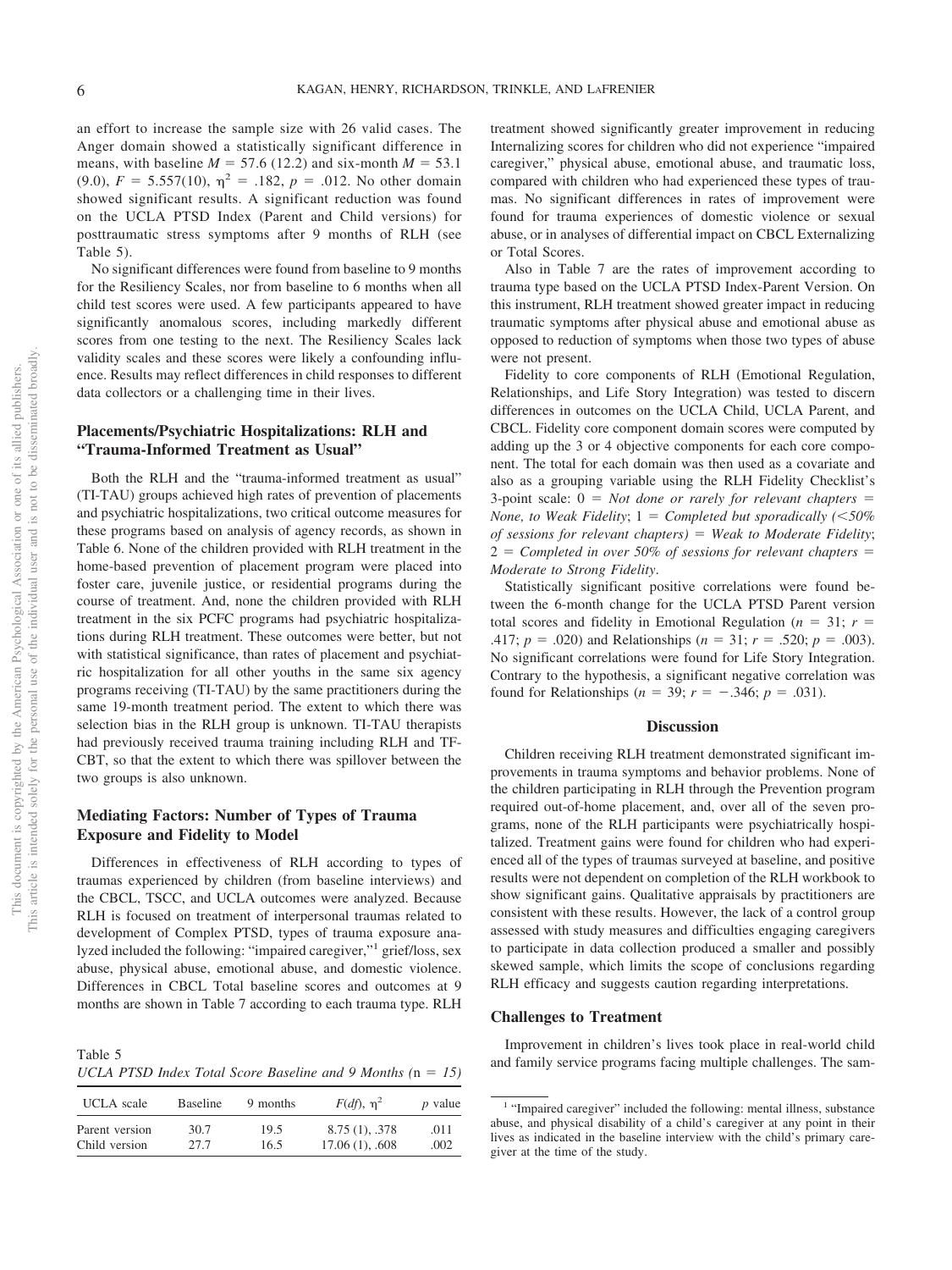an effort to increase the sample size with 26 valid cases. The Anger domain showed a statistically significant difference in means, with baseline  $M = 57.6$  (12.2) and six-month  $M = 53.1$ (9.0),  $F = 5.557(10)$ ,  $\eta^2 = .182$ ,  $p = .012$ . No other domain showed significant results. A significant reduction was found on the UCLA PTSD Index (Parent and Child versions) for posttraumatic stress symptoms after 9 months of RLH (see Table 5).

No significant differences were found from baseline to 9 months for the Resiliency Scales, nor from baseline to 6 months when all child test scores were used. A few participants appeared to have significantly anomalous scores, including markedly different scores from one testing to the next. The Resiliency Scales lack validity scales and these scores were likely a confounding influence. Results may reflect differences in child responses to different data collectors or a challenging time in their lives.

# **Placements/Psychiatric Hospitalizations: RLH and "Trauma-Informed Treatment as Usual"**

Both the RLH and the "trauma-informed treatment as usual" (TI-TAU) groups achieved high rates of prevention of placements and psychiatric hospitalizations, two critical outcome measures for these programs based on analysis of agency records, as shown in Table 6. None of the children provided with RLH treatment in the home-based prevention of placement program were placed into foster care, juvenile justice, or residential programs during the course of treatment. And, none the children provided with RLH treatment in the six PCFC programs had psychiatric hospitalizations during RLH treatment. These outcomes were better, but not with statistical significance, than rates of placement and psychiatric hospitalization for all other youths in the same six agency programs receiving (TI-TAU) by the same practitioners during the same 19-month treatment period. The extent to which there was selection bias in the RLH group is unknown. TI-TAU therapists had previously received trauma training including RLH and TF-CBT, so that the extent to which there was spillover between the two groups is also unknown.

# **Mediating Factors: Number of Types of Trauma Exposure and Fidelity to Model**

Differences in effectiveness of RLH according to types of traumas experienced by children (from baseline interviews) and the CBCL, TSCC, and UCLA outcomes were analyzed. Because RLH is focused on treatment of interpersonal traumas related to development of Complex PTSD, types of trauma exposure analyzed included the following: "impaired caregiver,"1 grief/loss, sex abuse, physical abuse, emotional abuse, and domestic violence. Differences in CBCL Total baseline scores and outcomes at 9 months are shown in Table 7 according to each trauma type. RLH

Table 5 UCLA PTSD Index Total Score Baseline and 9 Months (n = 15)

| <b>UCLA</b> scale | Baseline | 9 months | $F(df)$ , $\eta^2$ | $p$ value |
|-------------------|----------|----------|--------------------|-----------|
| Parent version    | 30.7     | 19.5     | $8.75(1)$ , 378    | .011      |
| Child version     | 27.7     | 16.5     | $17.06(1)$ , .608  | .002      |

treatment showed significantly greater improvement in reducing Internalizing scores for children who did not experience "impaired caregiver," physical abuse, emotional abuse, and traumatic loss, compared with children who had experienced these types of traumas. No significant differences in rates of improvement were found for trauma experiences of domestic violence or sexual abuse, or in analyses of differential impact on CBCL Externalizing or Total Scores.

Also in Table 7 are the rates of improvement according to trauma type based on the UCLA PTSD Index-Parent Version. On this instrument, RLH treatment showed greater impact in reducing traumatic symptoms after physical abuse and emotional abuse as opposed to reduction of symptoms when those two types of abuse were not present.

Fidelity to core components of RLH (Emotional Regulation, Relationships, and Life Story Integration) was tested to discern differences in outcomes on the UCLA Child, UCLA Parent, and CBCL. Fidelity core component domain scores were computed by adding up the 3 or 4 objective components for each core component. The total for each domain was then used as a covariate and also as a grouping variable using the RLH Fidelity Checklist's 3-point scale:  $0 = Not$  *done or rarely for relevant chapters*  $=$ *None, to Weak Fidelity*;  $1 =$  *Completed but sporadically (<50% of sessions for relevant chapters)* - *Weak to Moderate Fidelity*; 2 - *Completed in over 50% of sessions for relevant chapters* - *Moderate to Strong Fidelity*.

Statistically significant positive correlations were found between the 6-month change for the UCLA PTSD Parent version total scores and fidelity in Emotional Regulation ( $n = 31$ ;  $r =$ .417;  $p = .020$ ) and Relationships ( $n = 31$ ;  $r = .520$ ;  $p = .003$ ). No significant correlations were found for Life Story Integration. Contrary to the hypothesis, a significant negative correlation was found for Relationships ( $n = 39$ ;  $r = -.346$ ;  $p = .031$ ).

### **Discussion**

Children receiving RLH treatment demonstrated significant improvements in trauma symptoms and behavior problems. None of the children participating in RLH through the Prevention program required out-of-home placement, and, over all of the seven programs, none of the RLH participants were psychiatrically hospitalized. Treatment gains were found for children who had experienced all of the types of traumas surveyed at baseline, and positive results were not dependent on completion of the RLH workbook to show significant gains. Qualitative appraisals by practitioners are consistent with these results. However, the lack of a control group assessed with study measures and difficulties engaging caregivers to participate in data collection produced a smaller and possibly skewed sample, which limits the scope of conclusions regarding RLH efficacy and suggests caution regarding interpretations.

#### **Challenges to Treatment**

Improvement in children's lives took place in real-world child and family service programs facing multiple challenges. The sam-

<sup>&</sup>lt;sup>1</sup> "Impaired caregiver" included the following: mental illness, substance abuse, and physical disability of a child's caregiver at any point in their lives as indicated in the baseline interview with the child's primary caregiver at the time of the study.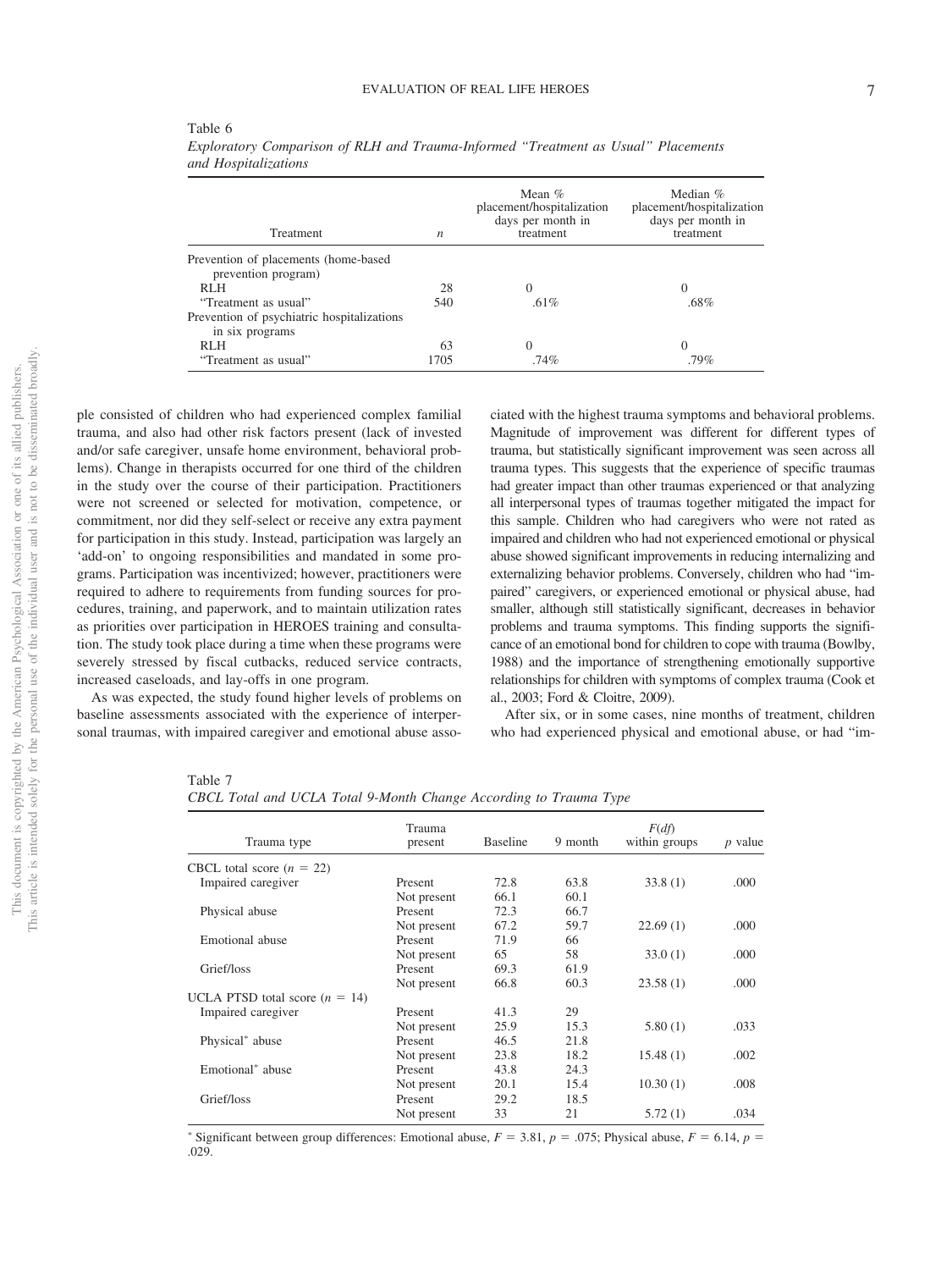| <b>Treatment</b>                                              | n    | Mean $\%$<br>placement/hospitalization<br>days per month in<br>treatment | Median $%$<br>placement/hospitalization<br>days per month in<br>treatment |
|---------------------------------------------------------------|------|--------------------------------------------------------------------------|---------------------------------------------------------------------------|
| Prevention of placements (home-based                          |      |                                                                          |                                                                           |
| prevention program)                                           |      |                                                                          |                                                                           |
| RLH                                                           | 28   | $\Omega$                                                                 | 0                                                                         |
| "Treatment as usual"                                          | 540  | .61%                                                                     | .68%                                                                      |
| Prevention of psychiatric hospitalizations<br>in six programs |      |                                                                          |                                                                           |
| RLH                                                           | 63   | 0                                                                        |                                                                           |
| "Treatment as usual"                                          | 1705 | .74%                                                                     | .79%                                                                      |

Table 6 *Exploratory Comparison of RLH and Trauma-Informed "Treatment as Usual" Placements and Hospitalizations*

ple consisted of children who had experienced complex familial trauma, and also had other risk factors present (lack of invested and/or safe caregiver, unsafe home environment, behavioral problems). Change in therapists occurred for one third of the children in the study over the course of their participation. Practitioners were not screened or selected for motivation, competence, or commitment, nor did they self-select or receive any extra payment for participation in this study. Instead, participation was largely an 'add-on' to ongoing responsibilities and mandated in some programs. Participation was incentivized; however, practitioners were required to adhere to requirements from funding sources for procedures, training, and paperwork, and to maintain utilization rates as priorities over participation in HEROES training and consultation. The study took place during a time when these programs were severely stressed by fiscal cutbacks, reduced service contracts, increased caseloads, and lay-offs in one program.

As was expected, the study found higher levels of problems on baseline assessments associated with the experience of interpersonal traumas, with impaired caregiver and emotional abuse associated with the highest trauma symptoms and behavioral problems. Magnitude of improvement was different for different types of trauma, but statistically significant improvement was seen across all trauma types. This suggests that the experience of specific traumas had greater impact than other traumas experienced or that analyzing all interpersonal types of traumas together mitigated the impact for this sample. Children who had caregivers who were not rated as impaired and children who had not experienced emotional or physical abuse showed significant improvements in reducing internalizing and externalizing behavior problems. Conversely, children who had "impaired" caregivers, or experienced emotional or physical abuse, had smaller, although still statistically significant, decreases in behavior problems and trauma symptoms. This finding supports the significance of an emotional bond for children to cope with trauma (Bowlby, 1988) and the importance of strengthening emotionally supportive relationships for children with symptoms of complex trauma (Cook et al., 2003; Ford & Cloitre, 2009).

After six, or in some cases, nine months of treatment, children who had experienced physical and emotional abuse, or had "im-

Table 7

| CBCL Total and UCLA Total 9-Month Change According to Trauma Type |  |  |
|-------------------------------------------------------------------|--|--|
|-------------------------------------------------------------------|--|--|

| Trauma type                      | Trauma<br>present | <b>Baseline</b> | 9 month | F(df)<br>within groups | $p$ value |
|----------------------------------|-------------------|-----------------|---------|------------------------|-----------|
| CBCL total score $(n = 22)$      |                   |                 |         |                        |           |
| Impaired caregiver               | Present           | 72.8            | 63.8    | 33.8(1)                | .000      |
|                                  | Not present       | 66.1            | 60.1    |                        |           |
| Physical abuse                   | Present           | 72.3            | 66.7    |                        |           |
|                                  | Not present       | 67.2            | 59.7    | 22.69(1)               | .000      |
| Emotional abuse                  | Present           | 71.9            | 66      |                        |           |
|                                  | Not present       | 65              | 58      | 33.0(1)                | .000      |
| Grief/loss                       | Present           | 69.3            | 61.9    |                        |           |
|                                  | Not present       | 66.8            | 60.3    | 23.58(1)               | .000      |
| UCLA PTSD total score $(n = 14)$ |                   |                 |         |                        |           |
| Impaired caregiver               | Present           | 41.3            | 29      |                        |           |
|                                  | Not present       | 25.9            | 15.3    | 5.80(1)                | .033      |
| Physical <sup>*</sup> abuse      | Present           | 46.5            | 21.8    |                        |           |
|                                  | Not present       | 23.8            | 18.2    | 15.48(1)               | .002      |
| Emotional <sup>*</sup> abuse     | Present           | 43.8            | 24.3    |                        |           |
|                                  | Not present       | 20.1            | 15.4    | 10.30(1)               | .008      |
| Grief/loss                       | Present           | 29.2            | 18.5    |                        |           |
|                                  | Not present       | 33              | 21      | 5.72(1)                | .034      |

<sup>\*</sup> Significant between group differences: Emotional abuse,  $F = 3.81$ ,  $p = .075$ ; Physical abuse,  $F = 6.14$ ,  $p =$ .029.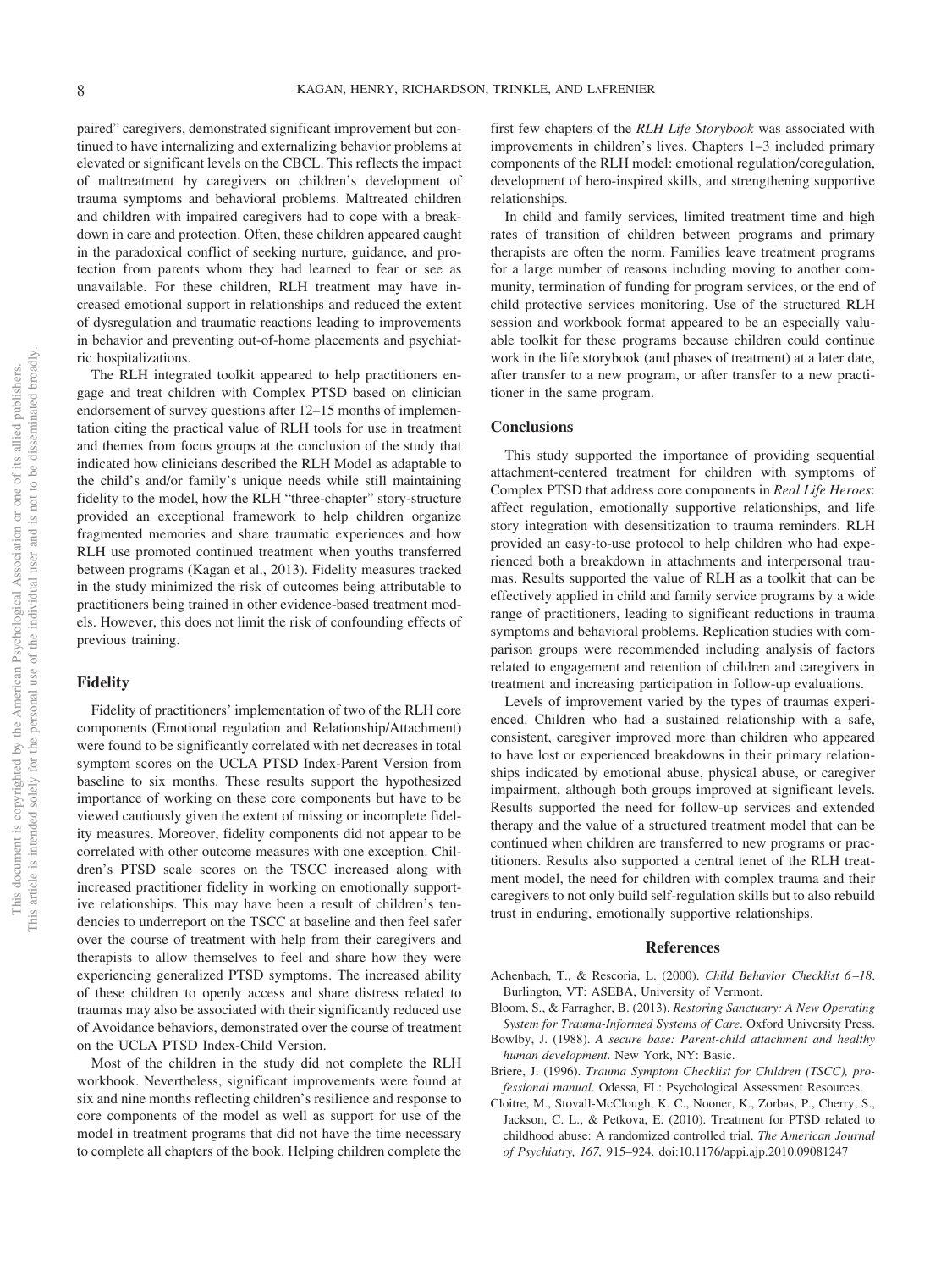paired" caregivers, demonstrated significant improvement but continued to have internalizing and externalizing behavior problems at elevated or significant levels on the CBCL. This reflects the impact of maltreatment by caregivers on children's development of trauma symptoms and behavioral problems. Maltreated children and children with impaired caregivers had to cope with a breakdown in care and protection. Often, these children appeared caught in the paradoxical conflict of seeking nurture, guidance, and protection from parents whom they had learned to fear or see as unavailable. For these children, RLH treatment may have increased emotional support in relationships and reduced the extent of dysregulation and traumatic reactions leading to improvements in behavior and preventing out-of-home placements and psychiatric hospitalizations.

The RLH integrated toolkit appeared to help practitioners engage and treat children with Complex PTSD based on clinician endorsement of survey questions after 12–15 months of implementation citing the practical value of RLH tools for use in treatment and themes from focus groups at the conclusion of the study that indicated how clinicians described the RLH Model as adaptable to the child's and/or family's unique needs while still maintaining fidelity to the model, how the RLH "three-chapter" story-structure provided an exceptional framework to help children organize fragmented memories and share traumatic experiences and how RLH use promoted continued treatment when youths transferred between programs (Kagan et al., 2013). Fidelity measures tracked in the study minimized the risk of outcomes being attributable to practitioners being trained in other evidence-based treatment models. However, this does not limit the risk of confounding effects of previous training.

#### **Fidelity**

Fidelity of practitioners' implementation of two of the RLH core components (Emotional regulation and Relationship/Attachment) were found to be significantly correlated with net decreases in total symptom scores on the UCLA PTSD Index-Parent Version from baseline to six months. These results support the hypothesized importance of working on these core components but have to be viewed cautiously given the extent of missing or incomplete fidelity measures. Moreover, fidelity components did not appear to be correlated with other outcome measures with one exception. Children's PTSD scale scores on the TSCC increased along with increased practitioner fidelity in working on emotionally supportive relationships. This may have been a result of children's tendencies to underreport on the TSCC at baseline and then feel safer over the course of treatment with help from their caregivers and therapists to allow themselves to feel and share how they were experiencing generalized PTSD symptoms. The increased ability of these children to openly access and share distress related to traumas may also be associated with their significantly reduced use of Avoidance behaviors, demonstrated over the course of treatment on the UCLA PTSD Index-Child Version.

Most of the children in the study did not complete the RLH workbook. Nevertheless, significant improvements were found at six and nine months reflecting children's resilience and response to core components of the model as well as support for use of the model in treatment programs that did not have the time necessary to complete all chapters of the book. Helping children complete the

first few chapters of the *RLH Life Storybook* was associated with improvements in children's lives. Chapters 1–3 included primary components of the RLH model: emotional regulation/coregulation, development of hero-inspired skills, and strengthening supportive relationships.

In child and family services, limited treatment time and high rates of transition of children between programs and primary therapists are often the norm. Families leave treatment programs for a large number of reasons including moving to another community, termination of funding for program services, or the end of child protective services monitoring. Use of the structured RLH session and workbook format appeared to be an especially valuable toolkit for these programs because children could continue work in the life storybook (and phases of treatment) at a later date, after transfer to a new program, or after transfer to a new practitioner in the same program.

#### **Conclusions**

This study supported the importance of providing sequential attachment-centered treatment for children with symptoms of Complex PTSD that address core components in *Real Life Heroes*: affect regulation, emotionally supportive relationships, and life story integration with desensitization to trauma reminders. RLH provided an easy-to-use protocol to help children who had experienced both a breakdown in attachments and interpersonal traumas. Results supported the value of RLH as a toolkit that can be effectively applied in child and family service programs by a wide range of practitioners, leading to significant reductions in trauma symptoms and behavioral problems. Replication studies with comparison groups were recommended including analysis of factors related to engagement and retention of children and caregivers in treatment and increasing participation in follow-up evaluations.

Levels of improvement varied by the types of traumas experienced. Children who had a sustained relationship with a safe, consistent, caregiver improved more than children who appeared to have lost or experienced breakdowns in their primary relationships indicated by emotional abuse, physical abuse, or caregiver impairment, although both groups improved at significant levels. Results supported the need for follow-up services and extended therapy and the value of a structured treatment model that can be continued when children are transferred to new programs or practitioners. Results also supported a central tenet of the RLH treatment model, the need for children with complex trauma and their caregivers to not only build self-regulation skills but to also rebuild trust in enduring, emotionally supportive relationships.

#### **References**

- Achenbach, T., & Rescoria, L. (2000). *Child Behavior Checklist 6 –18*. Burlington, VT: ASEBA, University of Vermont.
- Bloom, S., & Farragher, B. (2013). *Restoring Sanctuary: A New Operating System for Trauma-Informed Systems of Care*. Oxford University Press.
- Bowlby, J. (1988). *A secure base: Parent-child attachment and healthy human development*. New York, NY: Basic.
- Briere, J. (1996). *Trauma Symptom Checklist for Children (TSCC), professional manual*. Odessa, FL: Psychological Assessment Resources.
- Cloitre, M., Stovall-McClough, K. C., Nooner, K., Zorbas, P., Cherry, S., Jackson, C. L., & Petkova, E. (2010). Treatment for PTSD related to childhood abuse: A randomized controlled trial. *The American Journal of Psychiatry, 167,* 915–924. doi:10.1176/appi.ajp.2010.09081247